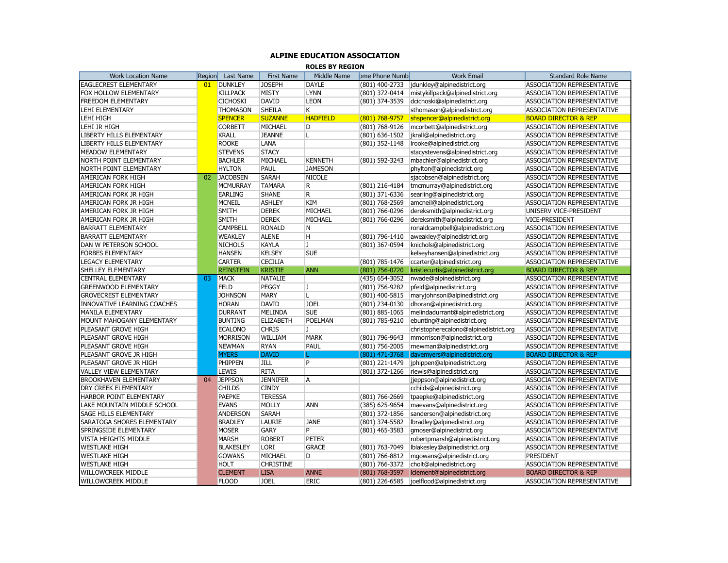## **ALPINE EDUCATION ASSOCIATION**

**ROLES BY REGION**

| <b>Work Location Name</b>     |              | Last Name                          | First Name       | Middle Name         | ome Phone Numb                   | <b>Work Email</b>                     |                                                         |
|-------------------------------|--------------|------------------------------------|------------------|---------------------|----------------------------------|---------------------------------------|---------------------------------------------------------|
| <b>EAGLECREST ELEMENTARY</b>  | Region<br>01 | <b>DUNKLEY</b>                     | <b>JOSEPH</b>    | <b>DAYLE</b>        | $(801)$ 400-2733                 | jdunkley@alpinedistrict.org           | <b>Standard Role Name</b><br>ASSOCIATION REPRESENTATIVE |
|                               |              |                                    |                  |                     |                                  | mistykillpack@alpinedistrict.org      |                                                         |
| FOX HOLLOW ELEMENTARY         |              | <b>KILLPACK</b><br><b>CICHOSKI</b> | <b>MISTY</b>     | <b>LYNN</b><br>LEON | (801) 372-0414<br>(801) 374-3539 | dcichoski@alpinedistrict.org          | ASSOCIATION REPRESENTATIVE                              |
| FREEDOM ELEMENTARY            |              |                                    | <b>DAVID</b>     | K                   |                                  |                                       | <b>ASSOCIATION REPRESENTATIVE</b>                       |
| LEHI ELEMENTARY               |              | <b>THOMASON</b>                    | <b>SHEILA</b>    |                     |                                  | sthomason@alpinedistrict.org          | ASSOCIATION REPRESENTATIVE                              |
| LEHI HIGH                     |              | <b>SPENCER</b>                     | <b>SUZANNE</b>   | <b>HADFIELD</b>     | (801) 768-9757                   | shspencer@alpinedistrict.org          | <b>BOARD DIRECTOR &amp; REP</b>                         |
| LEHI JR HIGH                  |              | <b>CORBETT</b>                     | MICHAEL          | D                   | (801) 768-9126                   | mcorbett@alpinedistrict.org           | ASSOCIATION REPRESENTATIVE                              |
| LIBERTY HILLS ELEMENTARY      |              | <b>KRALL</b>                       | <b>JEANNE</b>    | L                   | (801) 636-1502                   | jkrall@alpinedistrict.org             | ASSOCIATION REPRESENTATIVE                              |
| LIBERTY HILLS ELEMENTARY      |              | ROOKE                              | LANA             |                     | (801) 352-1148                   | Irooke@alpinedistrict.org             | ASSOCIATION REPRESENTATIVE                              |
| MEADOW ELEMENTARY             |              | <b>STEVENS</b>                     | <b>STACY</b>     |                     |                                  | stacystevens@alpinedistrict.org       | ASSOCIATION REPRESENTATIVE                              |
| NORTH POINT ELEMENTARY        |              | <b>BACHLER</b>                     | MICHAEL          | <b>KENNETH</b>      | (801) 592-3243                   | mbachler@alpinedistrict.org           | ASSOCIATION REPRESENTATIVE                              |
| NORTH POINT ELEMENTARY        |              | <b>HYLTON</b>                      | PAUL             | <b>JAMESON</b>      |                                  | phylton@alpinedistrict.org            | ASSOCIATION REPRESENTATIVE                              |
| AMERICAN FORK HIGH            | 02           | <b>JACOBSEN</b>                    | <b>SARAH</b>     | <b>NICOLE</b>       |                                  | sjacobsen@alpinedistrict.org          | ASSOCIATION REPRESENTATIVE                              |
| AMERICAN FORK HIGH            |              | <b>MCMURRAY</b>                    | <b>TAMARA</b>    | R                   | (801) 216-4184                   | tmcmurray@alpinedistrict.org          | ASSOCIATION REPRESENTATIVE                              |
| AMERICAN FORK JR HIGH         |              | <b>EARLING</b>                     | <b>SHANE</b>     | R                   | (801) 371-6336                   | searling@alpinedistrict.org           | <b>ASSOCIATION REPRESENTATIVE</b>                       |
| AMERICAN FORK JR HIGH         |              | <b>MCNEIL</b>                      | <b>ASHLEY</b>    | <b>KIM</b>          | (801) 768-2569                   | amcneil@alpinedistrict.org            | <b>ASSOCIATION REPRESENTATIVE</b>                       |
| AMERICAN FORK JR HIGH         |              | <b>SMITH</b>                       | <b>DEREK</b>     | MICHAEL             | (801) 766-0296                   | dereksmith@alpinedistrict.org         | UNISERV VICE-PRESIDENT                                  |
| AMERICAN FORK JR HIGH         |              | <b>SMITH</b>                       | <b>DEREK</b>     | MICHAEL             | (801) 766-0296                   | dereksmith@alpinedistrict.org         | VICE-PRESIDENT                                          |
| <b>BARRATT ELEMENTARY</b>     |              | <b>CAMPBELL</b>                    | <b>RONALD</b>    | N                   |                                  | ronaldcampbell@alpinedistrict.org     | ASSOCIATION REPRESENTATIVE                              |
| <b>BARRATT ELEMENTARY</b>     |              | <b>WEAKLEY</b>                     | <b>ALENE</b>     | Η                   | (801) 796-1410                   | aweakley@alpinedistrict.org           | ASSOCIATION REPRESENTATIVE                              |
| DAN W PETERSON SCHOOL         |              | <b>NICHOLS</b>                     | <b>KAYLA</b>     | J                   | (801) 367-0594                   | knichols@alpinedistrict.org           | ASSOCIATION REPRESENTATIVE                              |
| <b>FORBES ELEMENTARY</b>      |              | <b>HANSEN</b>                      | <b>KELSEY</b>    | <b>SUE</b>          |                                  | kelseyhansen@alpinedistrict.org       | ASSOCIATION REPRESENTATIVE                              |
| LEGACY ELEMENTARY             |              | <b>CARTER</b>                      | <b>CECILIA</b>   |                     | (801) 785-1476                   | ccarter@alpinedistrict.org            | ASSOCIATION REPRESENTATIVE                              |
| <b>SHELLEY ELEMENTARY</b>     |              | <b>REINSTEIN</b>                   | <b>KRISTIE</b>   | <b>ANN</b>          | (801) 756-0720                   | kristiecurtis@alpinedistrict.org      | <b>BOARD DIRECTOR &amp; REP</b>                         |
| <b>CENTRAL ELEMENTARY</b>     | 03           | <b>MACK</b>                        | <b>NATALIE</b>   |                     | (435) 654-3052                   | nwade@alpinedistrict.org              | <b>ASSOCIATION REPRESENTATIVE</b>                       |
| <b>GREENWOOD ELEMENTARY</b>   |              | <b>FELD</b>                        | PEGGY            | J                   | (801) 756-9282                   | pfeld@alpinedistrict.org              | ASSOCIATION REPRESENTATIVE                              |
| <b>GROVECREST ELEMENTARY</b>  |              | <b>JOHNSON</b>                     | <b>MARY</b>      | Г                   | (801) 400-5815                   | maryjohnson@alpinedistrict.org        | ASSOCIATION REPRESENTATIVE                              |
| INNOVATIVE LEARNING COACHES   |              | <b>HORAN</b>                       | <b>DAVID</b>     | <b>JOEL</b>         | (801) 234-0130                   | dhoran@alpinedistrict.org             | ASSOCIATION REPRESENTATIVE                              |
| MANILA ELEMENTARY             |              | <b>DURRANT</b>                     | MELINDA          | <b>SUE</b>          | (801) 885-1065                   | melindadurrant@alpinedistrict.org     | <b>ASSOCIATION REPRESENTATIVE</b>                       |
| MOUNT MAHOGANY ELEMENTARY     |              | <b>BUNTING</b>                     | <b>ELIZABETH</b> | <b>POELMAN</b>      | (801) 785-9210                   | ebunting@alpinedistrict.org           | ASSOCIATION REPRESENTATIVE                              |
| PLEASANT GROVE HIGH           |              | <b>ECALONO</b>                     | <b>CHRIS</b>     | J                   |                                  | christopherecalono@alpinedistrict.org | ASSOCIATION REPRESENTATIVE                              |
| PLEASANT GROVE HIGH           |              | <b>MORRISON</b>                    | WILLIAM          | <b>MARK</b>         | (801) 796-9643                   | mmorrison@alpinedistrict.org          | ASSOCIATION REPRESENTATIVE                              |
| PLEASANT GROVE HIGH           |              | <b>NEWMAN</b>                      | <b>RYAN</b>      | PAUL                | (801) 756-2005                   | rnewman@alpinedistrict.org            | ASSOCIATION REPRESENTATIVE                              |
| PLEASANT GROVE JR HIGH        |              | <b>MYERS</b>                       | <b>DAVID</b>     |                     | (801) 471-3768                   | davemyers@alpinedistrict.org          | <b>BOARD DIRECTOR &amp; REP</b>                         |
| PLEASANT GROVE JR HIGH        |              | PHIPPEN                            | JILL             | P                   | (801) 221-1479                   | jphippen@alpinedistrict.org           | ASSOCIATION REPRESENTATIVE                              |
| <b>VALLEY VIEW ELEMENTARY</b> |              | <b>LEWIS</b>                       | <b>RITA</b>      |                     | (801) 372-1266                   | rlewis@alpinedistrict.org             | ASSOCIATION REPRESENTATIVE                              |
| <b>BROOKHAVEN ELEMENTARY</b>  | 04           | <b>JEPPSON</b>                     | <b>JENNIFER</b>  | A                   |                                  | jjeppson@alpinedistrict.org           | ASSOCIATION REPRESENTATIVE                              |
| DRY CREEK ELEMENTARY          |              | <b>CHILDS</b>                      | <b>CINDY</b>     |                     |                                  | cchilds@alpinedistrict.org            | ASSOCIATION REPRESENTATIVE                              |
| HARBOR POINT ELEMENTARY       |              | <b>PAEPKE</b>                      | <b>TERESSA</b>   |                     | (801) 766-2669                   | tpaepke@alpinedistrict.org            | ASSOCIATION REPRESENTATIVE                              |
| LAKE MOUNTAIN MIDDLE SCHOOL   |              | <b>EVANS</b>                       | MOLLY            | <b>ANN</b>          | (385) 625-9654                   | maevans@alpinedistrict.org            | ASSOCIATION REPRESENTATIVE                              |
|                               |              |                                    |                  |                     |                                  |                                       |                                                         |
| SAGE HILLS ELEMENTARY         |              | <b>ANDERSON</b>                    | <b>SARAH</b>     |                     | (801) 372-1856                   | sanderson@alpinedistrict.org          | ASSOCIATION REPRESENTATIVE                              |
| SARATOGA SHORES ELEMENTARY    |              | <b>BRADLEY</b>                     | LAURIE           | <b>JANE</b>         | (801) 374-5582                   | Ibradley@alpinedistrict.org           | ASSOCIATION REPRESENTATIVE                              |
| SPRINGSIDE ELEMENTARY         |              | <b>MOSER</b>                       | <b>GARY</b>      | P                   | (801) 465-3583                   | gmoser@alpinedistrict.org             | ASSOCIATION REPRESENTATIVE                              |
| <b>VISTA HEIGHTS MIDDLE</b>   |              | <b>MARSH</b>                       | <b>ROBERT</b>    | <b>PETER</b>        |                                  | robertpmarsh@alpinedistrict.org       | ASSOCIATION REPRESENTATIVE                              |
| <b>WESTLAKE HIGH</b>          |              | <b>BLAKESLEY</b>                   | <b>LORI</b>      | <b>GRACE</b>        | (801) 763-7049                   | Iblakesley@alpinedistrict.org         | ASSOCIATION REPRESENTATIVE                              |
| <b>WESTLAKE HIGH</b>          |              | <b>GOWANS</b>                      | MICHAEL          | D                   | (801) 766-8812                   | mgowans@alpinedistrict.org            | PRESIDENT                                               |
| <b>WESTLAKE HIGH</b>          |              | <b>HOLT</b>                        | <b>CHRISTINE</b> |                     | (801) 766-3372                   | cholt@alpinedistrict.org              | ASSOCIATION REPRESENTATIVE                              |
| <b>WILLOWCREEK MIDDLE</b>     |              | <b>CLEMENT</b>                     | <b>LISA</b>      | <b>ANNE</b>         | (801) 768-3597                   | Iclement@alpinedistrict.org           | <b>BOARD DIRECTOR &amp; REP</b>                         |
| <b>WILLOWCREEK MIDDLE</b>     |              | <b>FLOOD</b>                       | <b>JOEL</b>      | <b>ERIC</b>         | (801) 226-6585                   | joelflood@alpinedistrict.org          | ASSOCIATION REPRESENTATIVE                              |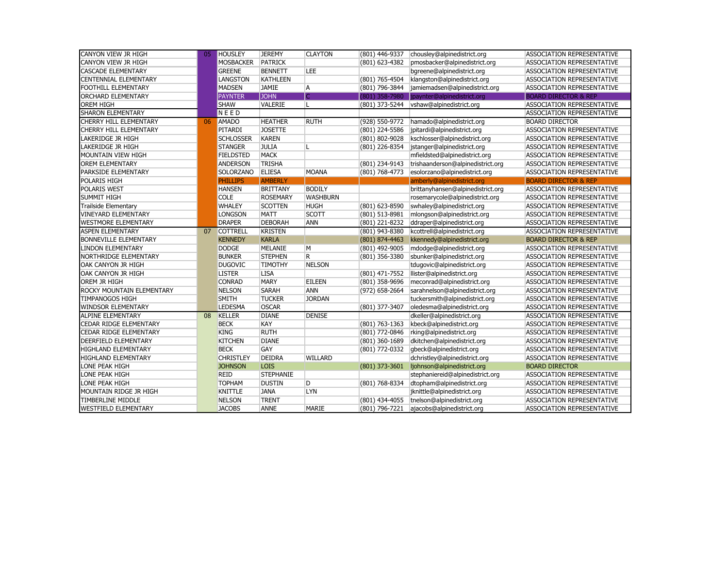| CANYON VIEW JR HIGH           | 05 | HOUSLEY          | <b>JEREMY</b>    | <b>CLAYTON</b>  | (801) 446-9337 | chousley@alpinedistrict.org             | <b>ASSOCIATION REPRESENTATIVE</b> |
|-------------------------------|----|------------------|------------------|-----------------|----------------|-----------------------------------------|-----------------------------------|
| CANYON VIEW JR HIGH           |    | <b>MOSBACKER</b> | <b>PATRICK</b>   |                 | (801) 623-4382 | pmosbacker@alpinedistrict.org           | ASSOCIATION REPRESENTATIVE        |
| <b>CASCADE ELEMENTARY</b>     |    | <b>GREENE</b>    | <b>BENNETT</b>   | LEE.            |                | bgreene@alpinedistrict.org              | <b>ASSOCIATION REPRESENTATIVE</b> |
| <b>CENTENNIAL ELEMENTARY</b>  |    | <b>LANGSTON</b>  | <b>KATHLEEN</b>  |                 | (801) 765-4504 | klangston@alpinedistrict.org            | ASSOCIATION REPRESENTATIVE        |
| FOOTHILL ELEMENTARY           |    | <b>MADSEN</b>    | <b>JAMIE</b>     | A               | (801) 796-3844 | jamiemadsen@alpinedistrict.org          | ASSOCIATION REPRESENTATIVE        |
| <b>ORCHARD ELEMENTARY</b>     |    | <b>PAYNTER</b>   | <b>JOHN</b>      |                 | (801) 358-7980 | jpaynter@alpinedistrict.org             | <b>BOARD DIRECTOR &amp; REP</b>   |
| <b>OREM HIGH</b>              |    | <b>SHAW</b>      | VALERIE          |                 |                | (801) 373-5244 vshaw@alpinedistrict.org | <b>ASSOCIATION REPRESENTATIVE</b> |
| <b>SHARON ELEMENTARY</b>      |    | NEED             |                  |                 |                |                                         | ASSOCIATION REPRESENTATIVE        |
| CHERRY HILL ELEMENTARY        | 06 | <b>AMADO</b>     | <b>HEATHER</b>   | <b>RUTH</b>     | (928) 550-9772 | hamado@alpinedistrict.org               | <b>BOARD DIRECTOR</b>             |
| <b>CHERRY HILL ELEMENTARY</b> |    | PITARDI          | <b>JOSETTE</b>   |                 | (801) 224-5586 | jpitardi@alpinedistrict.org             | ASSOCIATION REPRESENTATIVE        |
| LAKERIDGE JR HIGH             |    | <b>SCHLOSSER</b> | <b>KAREN</b>     |                 | (801) 802-9028 | kschlosser@alpinedistrict.org           | ASSOCIATION REPRESENTATIVE        |
| LAKERIDGE JR HIGH             |    | <b>STANGER</b>   | <b>JULIA</b>     |                 | (801) 226-8354 | jstanger@alpinedistrict.org             | ASSOCIATION REPRESENTATIVE        |
| MOUNTAIN VIEW HIGH            |    | <b>FIELDSTED</b> | <b>MACK</b>      |                 |                | mfieldsted@alpinedistrict.org           | ASSOCIATION REPRESENTATIVE        |
| <b>OREM ELEMENTARY</b>        |    | <b>ANDERSON</b>  | <b>TRISHA</b>    |                 | (801) 234-9143 | trishaanderson@alpinedistrict.org       | <b>ASSOCIATION REPRESENTATIVE</b> |
| PARKSIDE ELEMENTARY           |    | SOLORZANO        | <b>ELIESA</b>    | <b>MOANA</b>    | (801) 768-4773 | esolorzano@alpinedistrict.org           | ASSOCIATION REPRESENTATIVE        |
| POLARIS HIGH                  |    | <b>PHILLIPS</b>  | <b>AMBERLY</b>   |                 |                | amberly@alpinedistrict.org              | <b>BOARD DIRECTOR &amp; REP</b>   |
| POLARIS WEST                  |    | <b>HANSEN</b>    | <b>BRITTANY</b>  | <b>BODILY</b>   |                | brittanyhansen@alpinedistrict.org       | <b>ASSOCIATION REPRESENTATIVE</b> |
| <b>SUMMIT HIGH</b>            |    | <b>COLE</b>      | <b>ROSEMARY</b>  | <b>WASHBURN</b> |                | rosemarycole@alpinedistrict.org         | ASSOCIATION REPRESENTATIVE        |
| <b>Trailside Elementary</b>   |    | <b>WHALEY</b>    | <b>SCOTTEN</b>   | <b>HUGH</b>     | (801) 623-8590 | swhaley@alpinedistrict.org              | ASSOCIATION REPRESENTATIVE        |
| <b>VINEYARD ELEMENTARY</b>    |    | <b>LONGSON</b>   | <b>MATT</b>      | <b>SCOTT</b>    | (801) 513-8981 | mlongson@alpinedistrict.org             | ASSOCIATION REPRESENTATIVE        |
| <b>WESTMORE ELEMENTARY</b>    |    | <b>DRAPER</b>    | <b>DEBORAH</b>   | <b>ANN</b>      | (801) 221-8232 | ddraper@alpinedistrict.org              | ASSOCIATION REPRESENTATIVE        |
| <b>ASPEN ELEMENTARY</b>       | 07 | <b>COTTRELL</b>  | <b>KRISTEN</b>   |                 | (801) 943-8380 | kcottrell@alpinedistrict.org            | ASSOCIATION REPRESENTATIVE        |
| <b>BONNEVILLE ELEMENTARY</b>  |    | <b>KENNEDY</b>   | <b>KARLA</b>     |                 | (801) 874-4463 | kkennedy@alpinedistrict.org             | <b>BOARD DIRECTOR &amp; REP</b>   |
| LINDON ELEMENTARY             |    | <b>DODGE</b>     | MELANIE          | M               | (801) 492-9005 | mdodge@alpinedistrict.org               | ASSOCIATION REPRESENTATIVE        |
| NORTHRIDGE ELEMENTARY         |    | <b>BUNKER</b>    | <b>STEPHEN</b>   | R.              | (801) 356-3380 | sbunker@alpinedistrict.org              | <b>ASSOCIATION REPRESENTATIVE</b> |
| OAK CANYON JR HIGH            |    | <b>DUGOVIC</b>   | <b>TIMOTHY</b>   | <b>NELSON</b>   |                | tdugovic@alpinedistrict.org             | ASSOCIATION REPRESENTATIVE        |
| OAK CANYON JR HIGH            |    | <b>LISTER</b>    | <b>LISA</b>      |                 | (801) 471-7552 | llister@alpinedistrict.org              | ASSOCIATION REPRESENTATIVE        |
| OREM JR HIGH                  |    | <b>CONRAD</b>    | <b>MARY</b>      | <b>EILEEN</b>   | (801) 358-9696 | meconrad@alpinedistrict.org             | ASSOCIATION REPRESENTATIVE        |
| ROCKY MOUNTAIN ELEMENTARY     |    | <b>NELSON</b>    | <b>SARAH</b>     | ANN             | (972) 658-2664 | sarahnelson@alpinedistrict.org          | ASSOCIATION REPRESENTATIVE        |
| <b>TIMPANOGOS HIGH</b>        |    | <b>SMITH</b>     | <b>TUCKER</b>    | <b>JORDAN</b>   |                | tuckersmith@alpinedistrict.org          | <b>ASSOCIATION REPRESENTATIVE</b> |
| <b>WINDSOR ELEMENTARY</b>     |    | <b>LEDESMA</b>   | <b>OSCAR</b>     |                 | (801) 377-3407 | oledesma@alpinedistrict.org             | ASSOCIATION REPRESENTATIVE        |
| <b>ALPINE ELEMENTARY</b>      | 08 | KELLER           | <b>DIANE</b>     | <b>DENISE</b>   |                | dkeller@alpinedistrict.org              | <b>ASSOCIATION REPRESENTATIVE</b> |
| CEDAR RIDGE ELEMENTARY        |    | <b>BECK</b>      | KAY              |                 | (801) 763-1363 | kbeck@alpinedistrict.org                | ASSOCIATION REPRESENTATIVE        |
| CEDAR RIDGE ELEMENTARY        |    | <b>KING</b>      | <b>RUTH</b>      |                 | (801) 772-0846 | rking@alpinedistrict.org                | ASSOCIATION REPRESENTATIVE        |
| DEERFIELD ELEMENTARY          |    | <b>KITCHEN</b>   | <b>DIANE</b>     |                 | (801) 360-1689 | dkitchen@alpinedistrict.org             | ASSOCIATION REPRESENTATIVE        |
| HIGHLAND ELEMENTARY           |    | <b>BECK</b>      | GAY              |                 | (801) 772-0332 | gbeck@alpinedistrict.org                | <b>ASSOCIATION REPRESENTATIVE</b> |
| <b>HIGHLAND ELEMENTARY</b>    |    | <b>CHRISTLEY</b> | <b>DEIDRA</b>    | WILLARD         |                | dchristley@alpinedistrict.org           | ASSOCIATION REPRESENTATIVE        |
| LONE PEAK HIGH                |    | <b>JOHNSON</b>   | <b>LOIS</b>      |                 | (801) 373-3601 | ljohnson@alpinedistrict.org             | <b>BOARD DIRECTOR</b>             |
| LONE PEAK HIGH                |    | <b>REID</b>      | <b>STEPHANIE</b> |                 |                | stephaniereid@alpinedistrict.org        | ASSOCIATION REPRESENTATIVE        |
| LONE PEAK HIGH                |    | <b>TOPHAM</b>    | <b>DUSTIN</b>    | D               | (801) 768-8334 | dtopham@alpinedistrict.org              | ASSOCIATION REPRESENTATIVE        |
| MOUNTAIN RIDGE JR HIGH        |    | <b>KNITTLE</b>   | <b>JANA</b>      | LYN             |                | jknittle@alpinedistrict.org             | ASSOCIATION REPRESENTATIVE        |
| <b>TIMBERLINE MIDDLE</b>      |    | <b>NELSON</b>    | <b>TRENT</b>     |                 | (801) 434-4055 | tnelson@alpinedistrict.org              | ASSOCIATION REPRESENTATIVE        |
| <b>WESTFIELD ELEMENTARY</b>   |    | <b>JACOBS</b>    | <b>ANNE</b>      | <b>MARIE</b>    | (801) 796-7221 | ajacobs@alpinedistrict.org              | <b>ASSOCIATION REPRESENTATIVE</b> |